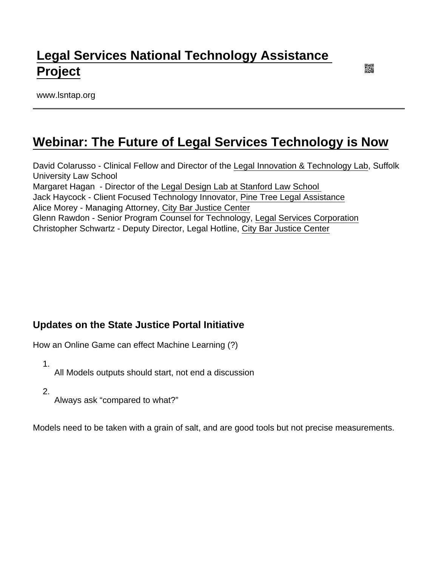## [Legal Services National Technology Assistance](https://www.lsntap.org/)  [Project](https://www.lsntap.org/)

www.lsntap.org

### [Webinar: The Future of Legal Services Technology is Now](https://www.lsntap.org/node/170/webinar-future-legal-services-technology-now)

David Colarusso - Clinical Fellow and Director of the [Legal Innovation & Technology Lab,](https://www.suffolk.edu/law/academics/concentrations/25484.php) Suffolk University Law School Margaret Hagan - Director of the [Legal Design Lab at Stanford Law School](https://law.stanford.edu/organizations/pages/legal-design-lab/)  Jack Haycock - Client Focused Technology Innovator, [Pine Tree Legal Assistance](https://www.ptla.org/) Alice Morey - Managing Attorney, [City Bar Justice Center](https://www.citybarjusticecenter.org/) Glenn Rawdon - Senior Program Counsel for Technology, [Legal Services Corporation](https://www.lsc.gov/) Christopher Schwartz - Deputy Director, Legal Hotline, [City Bar Justice Center](https://www.citybarjusticecenter.org/)

### Updates on the State Justice Portal Initiative

How an Online Game can effect Machine Learning (?)

1. All Models outputs should start, not end a discussion

2.

Always ask "compared to what?"

Models need to be taken with a grain of salt, and are good tools but not precise measurements.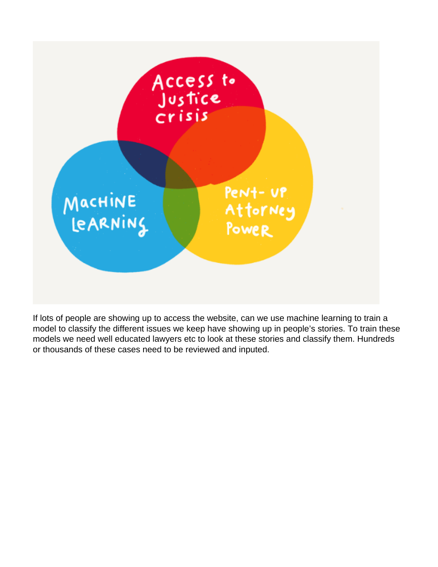

If lots of people are showing up to access the website, can we use machine learning to train a model to classify the different issues we keep have showing up in people's stories. To train these models we need well educated lawyers etc to look at these stories and classify them. Hundreds or thousands of these cases need to be reviewed and inputed.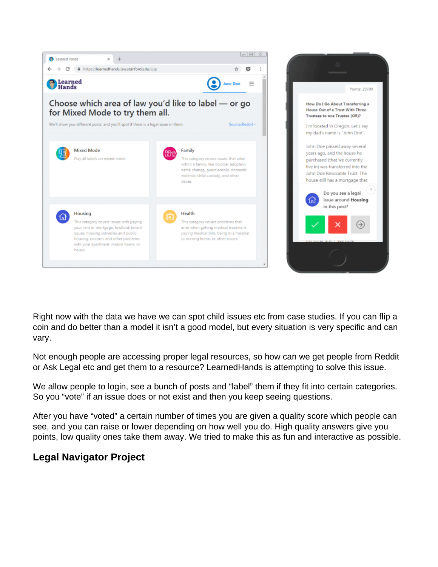

Right now with the data we have we can spot child issues etc from case studies. If you can flip a coin and do better than a model it isn't a good model, but every situation is very specific and can vary.

Not enough people are accessing proper legal resources, so how can we get people from Reddit or Ask Legal etc and get them to a resource? LearnedHands is attempting to solve this issue.

We allow people to login, see a bunch of posts and "label" them if they fit into certain categories. So you "vote" if an issue does or not exist and then you keep seeing questions.

After you have "voted" a certain number of times you are given a quality score which people can see, and you can raise or lower depending on how well you do. High quality answers give you points, low quality ones take them away. We tried to make this as fun and interactive as possible.

### **Legal Navigator Project**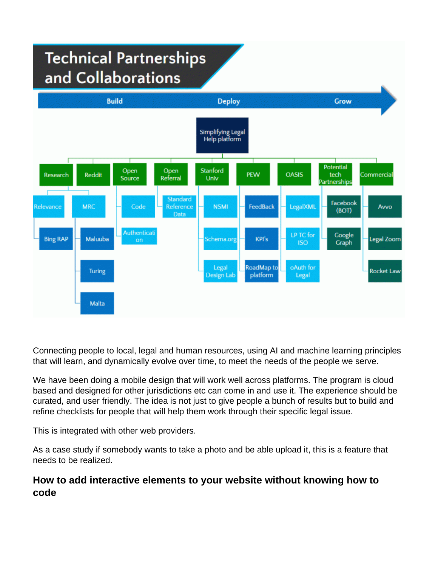# **Technical Partnerships** and Collaborations



Connecting people to local, legal and human resources, using AI and machine learning principles that will learn, and dynamically evolve over time, to meet the needs of the people we serve.

We have been doing a mobile design that will work well across platforms. The program is cloud based and designed for other jurisdictions etc can come in and use it. The experience should be curated, and user friendly. The idea is not just to give people a bunch of results but to build and refine checklists for people that will help them work through their specific legal issue.

This is integrated with other web providers.

As a case study if somebody wants to take a photo and be able upload it, this is a feature that needs to be realized.

### **How to add interactive elements to your website without knowing how to code**